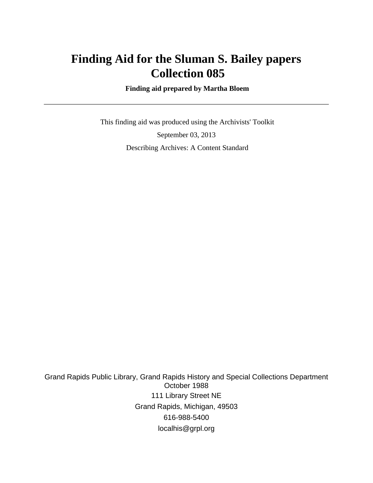# **Finding Aid for the Sluman S. Bailey papers Collection 085**

 **Finding aid prepared by Martha Bloem**

 This finding aid was produced using the Archivists' Toolkit September 03, 2013 Describing Archives: A Content Standard

Grand Rapids Public Library, Grand Rapids History and Special Collections Department October 1988 111 Library Street NE Grand Rapids, Michigan, 49503 616-988-5400 localhis@grpl.org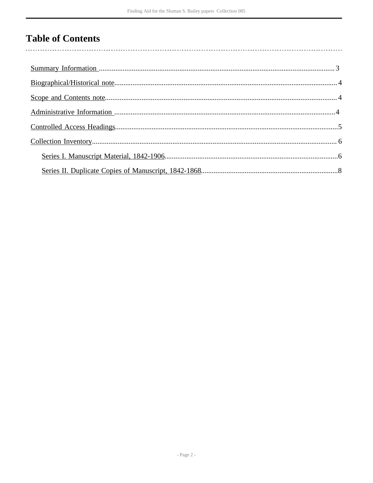# **Table of Contents**

 $\overline{\phantom{a}}$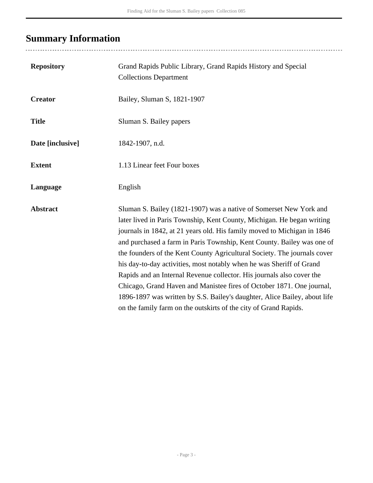# <span id="page-2-0"></span>**Summary Information**

| <b>Repository</b> | Grand Rapids Public Library, Grand Rapids History and Special<br><b>Collections Department</b>                                                                                                                                                                                                                                                                                                                                                                                                                                                                                                                                                                                                                                                           |
|-------------------|----------------------------------------------------------------------------------------------------------------------------------------------------------------------------------------------------------------------------------------------------------------------------------------------------------------------------------------------------------------------------------------------------------------------------------------------------------------------------------------------------------------------------------------------------------------------------------------------------------------------------------------------------------------------------------------------------------------------------------------------------------|
| <b>Creator</b>    | Bailey, Sluman S, 1821-1907                                                                                                                                                                                                                                                                                                                                                                                                                                                                                                                                                                                                                                                                                                                              |
| <b>Title</b>      | Sluman S. Bailey papers                                                                                                                                                                                                                                                                                                                                                                                                                                                                                                                                                                                                                                                                                                                                  |
| Date [inclusive]  | 1842-1907, n.d.                                                                                                                                                                                                                                                                                                                                                                                                                                                                                                                                                                                                                                                                                                                                          |
| <b>Extent</b>     | 1.13 Linear feet Four boxes                                                                                                                                                                                                                                                                                                                                                                                                                                                                                                                                                                                                                                                                                                                              |
| Language          | English                                                                                                                                                                                                                                                                                                                                                                                                                                                                                                                                                                                                                                                                                                                                                  |
| <b>Abstract</b>   | Sluman S. Bailey (1821-1907) was a native of Somerset New York and<br>later lived in Paris Township, Kent County, Michigan. He began writing<br>journals in 1842, at 21 years old. His family moved to Michigan in 1846<br>and purchased a farm in Paris Township, Kent County. Bailey was one of<br>the founders of the Kent County Agricultural Society. The journals cover<br>his day-to-day activities, most notably when he was Sheriff of Grand<br>Rapids and an Internal Revenue collector. His journals also cover the<br>Chicago, Grand Haven and Manistee fires of October 1871. One journal,<br>1896-1897 was written by S.S. Bailey's daughter, Alice Bailey, about life<br>on the family farm on the outskirts of the city of Grand Rapids. |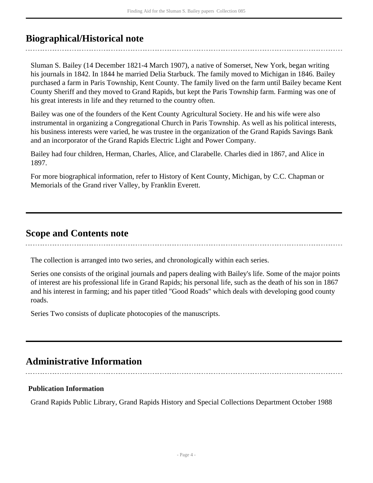### <span id="page-3-0"></span>**Biographical/Historical note**

Sluman S. Bailey (14 December 1821-4 March 1907), a native of Somerset, New York, began writing his journals in 1842. In 1844 he married Delia Starbuck. The family moved to Michigan in 1846. Bailey purchased a farm in Paris Township, Kent County. The family lived on the farm until Bailey became Kent County Sheriff and they moved to Grand Rapids, but kept the Paris Township farm. Farming was one of his great interests in life and they returned to the country often.

Bailey was one of the founders of the Kent County Agricultural Society. He and his wife were also instrumental in organizing a Congregational Church in Paris Township. As well as his political interests, his business interests were varied, he was trustee in the organization of the Grand Rapids Savings Bank and an incorporator of the Grand Rapids Electric Light and Power Company.

Bailey had four children, Herman, Charles, Alice, and Clarabelle. Charles died in 1867, and Alice in 1897.

For more biographical information, refer to History of Kent County, Michigan, by C.C. Chapman or Memorials of the Grand river Valley, by Franklin Everett.

### <span id="page-3-1"></span>**Scope and Contents note**

The collection is arranged into two series, and chronologically within each series.

Series one consists of the original journals and papers dealing with Bailey's life. Some of the major points of interest are his professional life in Grand Rapids; his personal life, such as the death of his son in 1867 and his interest in farming; and his paper titled "Good Roads" which deals with developing good county roads.

Series Two consists of duplicate photocopies of the manuscripts.

## <span id="page-3-2"></span>**Administrative Information**

### **Publication Information**

Grand Rapids Public Library, Grand Rapids History and Special Collections Department October 1988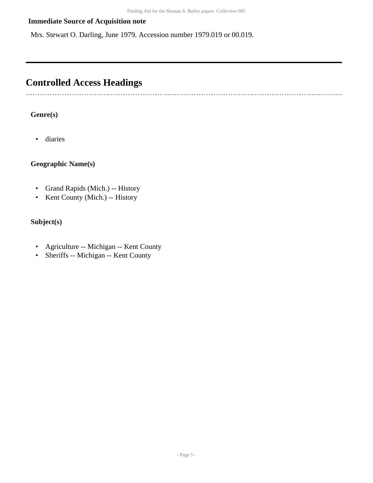### **Immediate Source of Acquisition note**

Mrs. Stewart O. Darling, June 1979. Accession number 1979.019 or 00.019.

## <span id="page-4-0"></span>**Controlled Access Headings**

### **Genre(s)**

• diaries

--------------------------

### **Geographic Name(s)**

- Grand Rapids (Mich.) -- History
- Kent County (Mich.) -- History

### **Subject(s)**

- Agriculture -- Michigan -- Kent County
- Sheriffs -- Michigan -- Kent County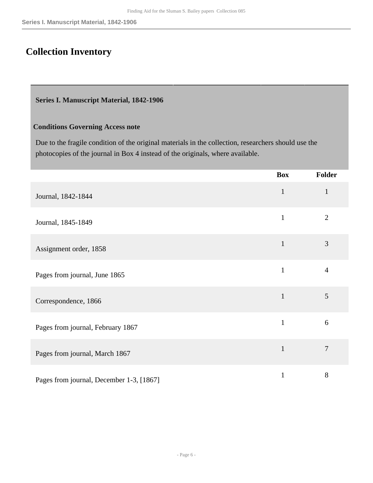## <span id="page-5-0"></span>**Collection Inventory**

#### <span id="page-5-1"></span>**Series I. Manuscript Material, 1842-1906**

#### **Conditions Governing Access note**

Due to the fragile condition of the original materials in the collection, researchers should use the photocopies of the journal in Box 4 instead of the originals, where available.

|                                          | <b>Box</b>   | Folder         |
|------------------------------------------|--------------|----------------|
| Journal, 1842-1844                       | $\mathbf{1}$ | $\mathbf{1}$   |
| Journal, 1845-1849                       | $\mathbf{1}$ | $\overline{2}$ |
| Assignment order, 1858                   | $\mathbf{1}$ | 3              |
| Pages from journal, June 1865            | $\mathbf{1}$ | $\overline{4}$ |
| Correspondence, 1866                     | $\mathbf{1}$ | 5              |
| Pages from journal, February 1867        | $\mathbf{1}$ | 6              |
| Pages from journal, March 1867           | $\mathbf{1}$ | $\overline{7}$ |
| Pages from journal, December 1-3, [1867] | $\mathbf{1}$ | 8              |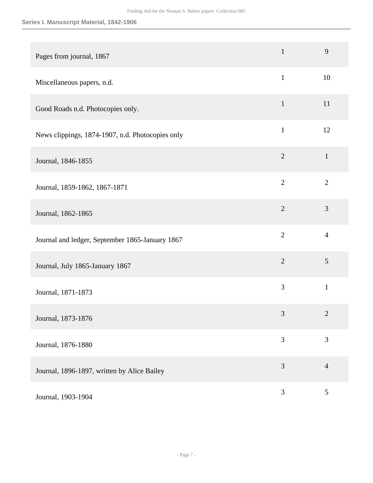| Pages from journal, 1867                         | $\mathbf{1}$   | 9              |
|--------------------------------------------------|----------------|----------------|
| Miscellaneous papers, n.d.                       | $\mathbf{1}$   | 10             |
| Good Roads n.d. Photocopies only.                | $\mathbf{1}$   | 11             |
| News clippings, 1874-1907, n.d. Photocopies only | $\mathbf{1}$   | 12             |
| Journal, 1846-1855                               | $\overline{2}$ | $\mathbf{1}$   |
| Journal, 1859-1862, 1867-1871                    | $\overline{2}$ | $\overline{2}$ |
| Journal, 1862-1865                               | $\overline{2}$ | 3              |
| Journal and ledger, September 1865-January 1867  | $\overline{2}$ | $\overline{4}$ |
| Journal, July 1865-January 1867                  | $\overline{2}$ | 5              |
| Journal, 1871-1873                               | 3              | $\mathbf{1}$   |
| Journal, 1873-1876                               | 3              | $\overline{2}$ |
| Journal, 1876-1880                               | 3              | 3              |
| Journal, 1896-1897, written by Alice Bailey      | 3              | $\overline{4}$ |
| Journal, 1903-1904                               | $\mathfrak{Z}$ | $\mathfrak{S}$ |